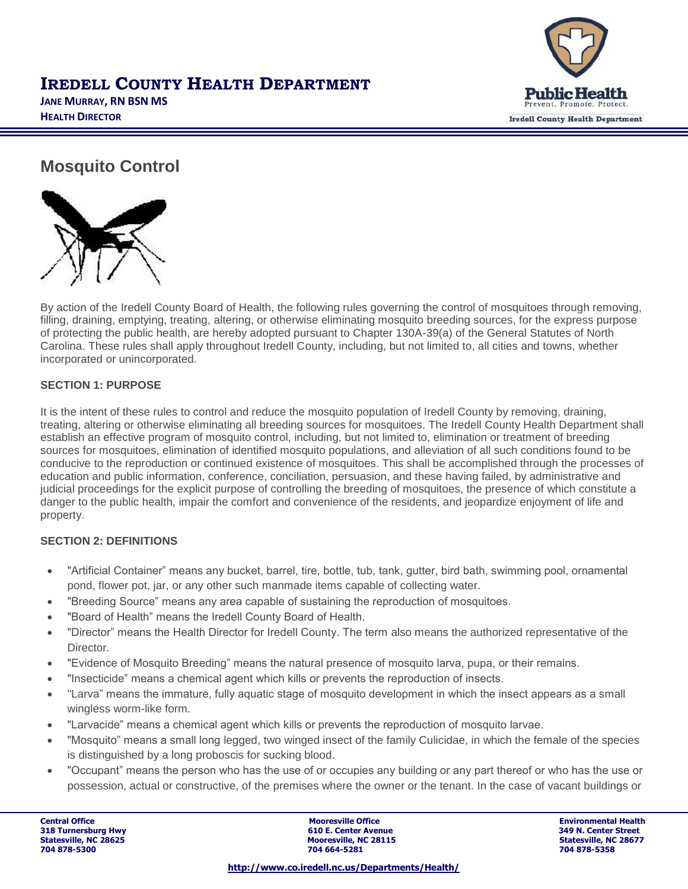

# **IREDELL COUNTY HEALTH DEPARTMENT JANE MURRAY, RN BSN MS HEALTH DIRECTOR**

# **Mosquito Control**



By action of the Iredell County Board of Health, the following rules governing the control of mosquitoes through removing, filling, draining, emptying, treating, altering, or otherwise eliminating mosquito breeding sources, for the express purpose of protecting the public health, are hereby adopted pursuant to Chapter 130A-39(a) of the General Statutes of North Carolina. These rules shall apply throughout Iredell County, including, but not limited to, all cities and towns, whether incorporated or unincorporated.

#### **SECTION 1: PURPOSE**

It is the intent of these rules to control and reduce the mosquito population of Iredell County by removing, draining, treating, altering or otherwise eliminating all breeding sources for mosquitoes. The Iredell County Health Department shall establish an effective program of mosquito control, including, but not limited to, elimination or treatment of breeding sources for mosquitoes, elimination of identified mosquito populations, and alleviation of all such conditions found to be conducive to the reproduction or continued existence of mosquitoes. This shall be accomplished through the processes of education and public information, conference, conciliation, persuasion, and these having failed, by administrative and judicial proceedings for the explicit purpose of controlling the breeding of mosquitoes, the presence of which constitute a danger to the public health, impair the comfort and convenience of the residents, and jeopardize enjoyment of life and property.

#### **SECTION 2: DEFINITIONS**

- "Artificial Container" means any bucket, barrel, tire, bottle, tub, tank, gutter, bird bath, swimming pool, ornamental pond, flower pot, jar, or any other such manmade items capable of collecting water.
- "Breeding Source" means any area capable of sustaining the reproduction of mosquitoes.
- "Board of Health" means the Iredell County Board of Health.
- "Director" means the Health Director for Iredell County. The term also means the authorized representative of the Director.
- "Evidence of Mosquito Breeding" means the natural presence of mosquito larva, pupa, or their remains.
- "Insecticide" means a chemical agent which kills or prevents the reproduction of insects.
- "Larva" means the immature, fully aquatic stage of mosquito development in which the insect appears as a small wingless worm-like form.
- "Larvacide" means a chemical agent which kills or prevents the reproduction of mosquito larvae.
- "Mosquito" means a small long legged, two winged insect of the family Culicidae, in which the female of the species is distinguished by a long proboscis for sucking blood.
- "Occupant" means the person who has the use of or occupies any building or any part thereof or who has the use or possession, actual or constructive, of the premises where the owner or the tenant. In the case of vacant buildings or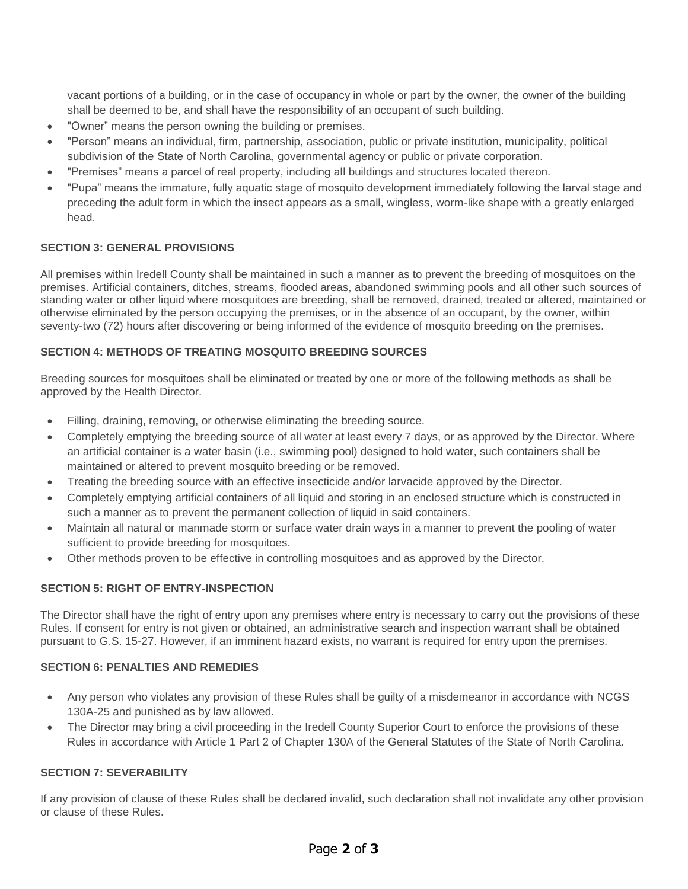vacant portions of a building, or in the case of occupancy in whole or part by the owner, the owner of the building shall be deemed to be, and shall have the responsibility of an occupant of such building.

- "Owner" means the person owning the building or premises.
- "Person" means an individual, firm, partnership, association, public or private institution, municipality, political subdivision of the State of North Carolina, governmental agency or public or private corporation.
- "Premises" means a parcel of real property, including all buildings and structures located thereon.
- "Pupa" means the immature, fully aquatic stage of mosquito development immediately following the larval stage and preceding the adult form in which the insect appears as a small, wingless, worm-like shape with a greatly enlarged head.

#### **SECTION 3: GENERAL PROVISIONS**

All premises within Iredell County shall be maintained in such a manner as to prevent the breeding of mosquitoes on the premises. Artificial containers, ditches, streams, flooded areas, abandoned swimming pools and all other such sources of standing water or other liquid where mosquitoes are breeding, shall be removed, drained, treated or altered, maintained or otherwise eliminated by the person occupying the premises, or in the absence of an occupant, by the owner, within seventy-two (72) hours after discovering or being informed of the evidence of mosquito breeding on the premises.

#### **SECTION 4: METHODS OF TREATING MOSQUITO BREEDING SOURCES**

Breeding sources for mosquitoes shall be eliminated or treated by one or more of the following methods as shall be approved by the Health Director.

- Filling, draining, removing, or otherwise eliminating the breeding source.
- Completely emptying the breeding source of all water at least every 7 days, or as approved by the Director. Where an artificial container is a water basin (i.e., swimming pool) designed to hold water, such containers shall be maintained or altered to prevent mosquito breeding or be removed.
- Treating the breeding source with an effective insecticide and/or larvacide approved by the Director.
- Completely emptying artificial containers of all liquid and storing in an enclosed structure which is constructed in such a manner as to prevent the permanent collection of liquid in said containers.
- Maintain all natural or manmade storm or surface water drain ways in a manner to prevent the pooling of water sufficient to provide breeding for mosquitoes.
- Other methods proven to be effective in controlling mosquitoes and as approved by the Director.

#### **SECTION 5: RIGHT OF ENTRY-INSPECTION**

The Director shall have the right of entry upon any premises where entry is necessary to carry out the provisions of these Rules. If consent for entry is not given or obtained, an administrative search and inspection warrant shall be obtained pursuant to G.S. 15-27. However, if an imminent hazard exists, no warrant is required for entry upon the premises.

#### **SECTION 6: PENALTIES AND REMEDIES**

- Any person who violates any provision of these Rules shall be guilty of a misdemeanor in accordance with NCGS 130A-25 and punished as by law allowed.
- The Director may bring a civil proceeding in the Iredell County Superior Court to enforce the provisions of these Rules in accordance with Article 1 Part 2 of Chapter 130A of the General Statutes of the State of North Carolina.

#### **SECTION 7: SEVERABILITY**

If any provision of clause of these Rules shall be declared invalid, such declaration shall not invalidate any other provision or clause of these Rules.